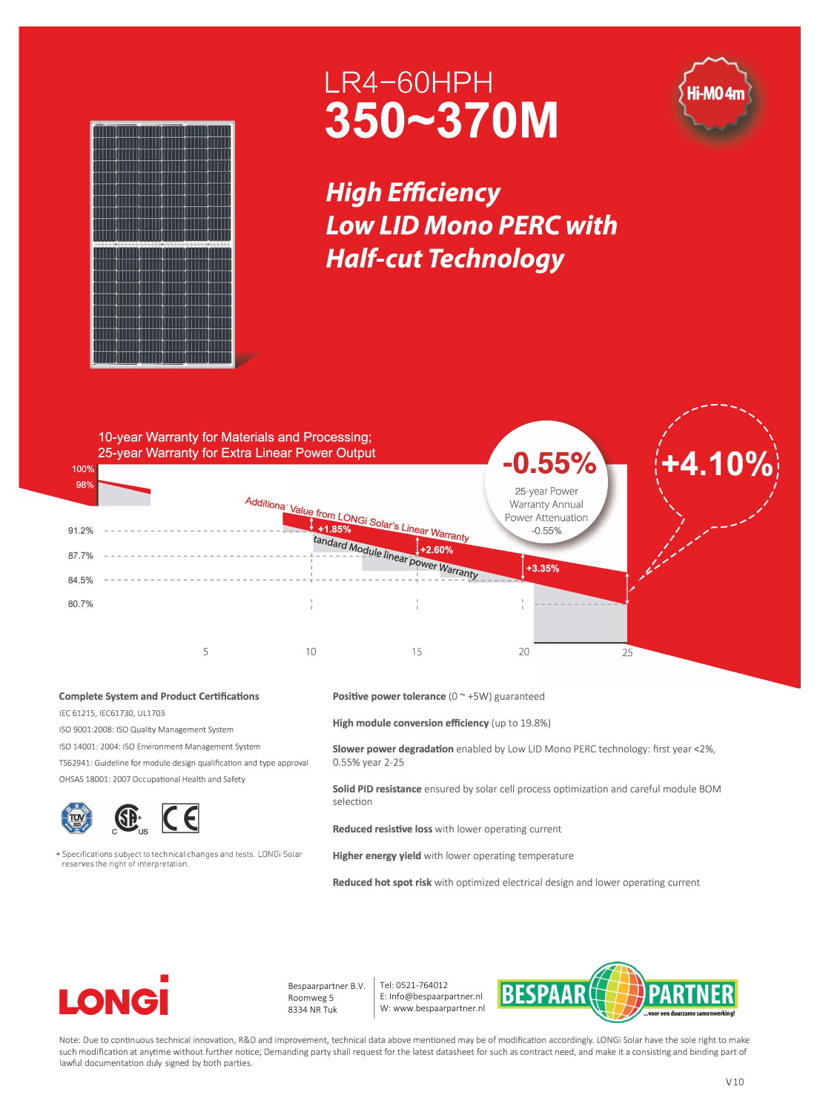

## LR4-60HPH 350~370M

**High Efficiency Low LID Mono PERC with Half-cut Technology** 



## **Complete System and Product Certifications**

IEC 61215, IEC61730, UL1703

ISO 9001:2008: ISO Quality Management System

ISO 14001: 2004: ISO Environment Management System

TS62941: Guideline for module design qualification and type approval

OHSAS 18001: 2007 Occupational Health and Safety



\* Specifications subject to technical changes and tests. LONGi Solar reserves the right of interpretation.

**Positive power tolerance** (0 ~ +5W) guaranteed

**High module conversion efficiency** (up to 19.8%)

**Slower power degradation** enabled by Low LID Mono PERC technology: first year <2%, 0.55% year 2-25

**Solid PID resistance** ensured by solar cell process optimization and careful module BOM selection

**Reduced resistive loss** with lower operating current

**Higher energy yield** with lower operating temperature

**Reduced hot spot risk** with optimized electrical design and lower operating current



Bespaarpartner B.V. Roomweg 5 8334 NR Tuk

Tel: 0521-764012 E: Info@bespaarpartner.nl W: www.bespaarpartner.nl



Note: Due to continuous technical innovation, R&D and improvement, technical data above mentioned may be of modification accordingly. LONGi Solar have the sole right to make such modification at anytime without further notice; Demanding party shall request for the latest datasheet for such as contract need, and make it a consisting and binding part of lawful documentation duly signed by both parties.